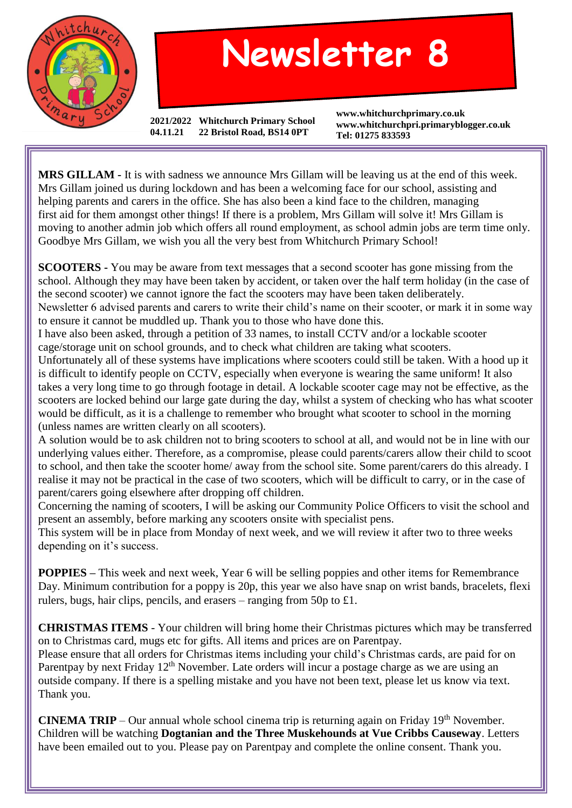

## **Newsletter 8**

**2021/2022 Whitchurch Primary School 04.11.21 22 Bristol Road, BS14 0PT**

**www.whitchurchprimary.co.uk www.whitchurchpri.primaryblogger.co.uk Tel: 01275 833593**

**MRS GILLAM -** It is with sadness we announce Mrs Gillam will be leaving us at the end of this week. Mrs Gillam joined us during lockdown and has been a welcoming face for our school, assisting and helping parents and carers in the office. She has also been a kind face to the children, managing first aid for them amongst other things! If there is a problem, Mrs Gillam will solve it! Mrs Gillam is moving to another admin job which offers all round employment, as school admin jobs are term time only. Goodbye Mrs Gillam, we wish you all the very best from Whitchurch Primary School!

**SCOOTERS -** You may be aware from text messages that a second scooter has gone missing from the school. Although they may have been taken by accident, or taken over the half term holiday (in the case of the second scooter) we cannot ignore the fact the scooters may have been taken deliberately. Newsletter 6 advised parents and carers to write their child's name on their scooter, or mark it in some way to ensure it cannot be muddled up. Thank you to those who have done this.

I have also been asked, through a petition of 33 names, to install CCTV and/or a lockable scooter cage/storage unit on school grounds, and to check what children are taking what scooters.

Unfortunately all of these systems have implications where scooters could still be taken. With a hood up it is difficult to identify people on CCTV, especially when everyone is wearing the same uniform! It also takes a very long time to go through footage in detail. A lockable scooter cage may not be effective, as the scooters are locked behind our large gate during the day, whilst a system of checking who has what scooter would be difficult, as it is a challenge to remember who brought what scooter to school in the morning (unless names are written clearly on all scooters).

A solution would be to ask children not to bring scooters to school at all, and would not be in line with our underlying values either. Therefore, as a compromise, please could parents/carers allow their child to scoot to school, and then take the scooter home/ away from the school site. Some parent/carers do this already. I realise it may not be practical in the case of two scooters, which will be difficult to carry, or in the case of parent/carers going elsewhere after dropping off children.

Concerning the naming of scooters, I will be asking our Community Police Officers to visit the school and present an assembly, before marking any scooters onsite with specialist pens.

This system will be in place from Monday of next week, and we will review it after two to three weeks depending on it's success.

**POPPIES –** This week and next week, Year 6 will be selling poppies and other items for Remembrance Day. Minimum contribution for a poppy is 20p, this year we also have snap on wrist bands, bracelets, flexi rulers, bugs, hair clips, pencils, and erasers – ranging from 50p to £1.

**CHRISTMAS ITEMS** - Your children will bring home their Christmas pictures which may be transferred on to Christmas card, mugs etc for gifts. All items and prices are on Parentpay.

Please ensure that all orders for Christmas items including your child's Christmas cards, are paid for on Parentpay by next Friday 12<sup>th</sup> November. Late orders will incur a postage charge as we are using an outside company. If there is a spelling mistake and you have not been text, please let us know via text. Thank you.

**CINEMA TRIP** – Our annual whole school cinema trip is returning again on Friday  $19<sup>th</sup>$  November. Children will be watching **Dogtanian and the Three Muskehounds at Vue Cribbs Causeway**. Letters have been emailed out to you. Please pay on Parentpay and complete the online consent. Thank you.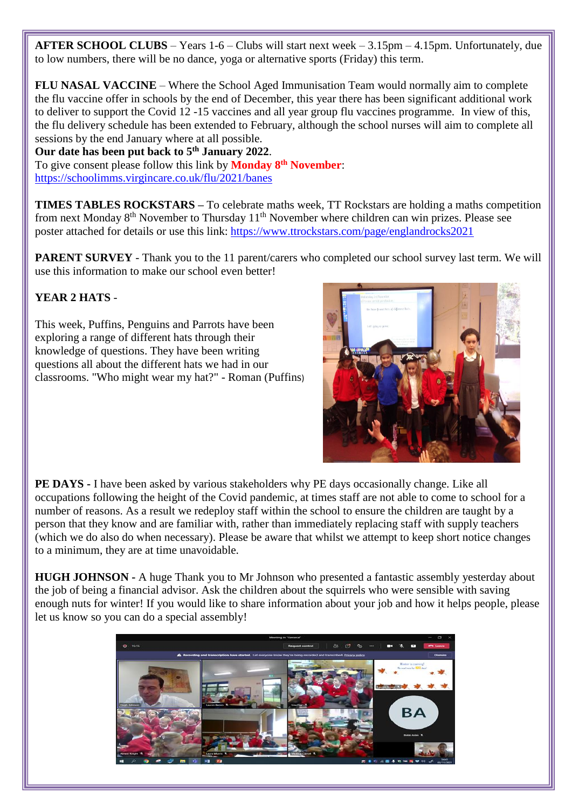**AFTER SCHOOL CLUBS** – Years 1-6 – Clubs will start next week – 3.15pm – 4.15pm. Unfortunately, due to low numbers, there will be no dance, yoga or alternative sports (Friday) this term.

**FLU NASAL VACCINE** – Where the School Aged Immunisation Team would normally aim to complete the flu vaccine offer in schools by the end of December, this year there has been significant additional work to deliver to support the Covid 12 -15 vaccines and all year group flu vaccines programme. In view of this, the flu delivery schedule has been extended to February, although the school nurses will aim to complete all sessions by the end January where at all possible.

**Our date has been put back to 5th January 2022**. To give consent please follow this link by **Monday 8th November**: <https://schoolimms.virgincare.co.uk/flu/2021/banes>

**TIMES TABLES ROCKSTARS –** To celebrate maths week, TT Rockstars are holding a maths competition from next Monday 8<sup>th</sup> November to Thursday 11<sup>th</sup> November where children can win prizes. Please see poster attached for details or use this link: <https://www.ttrockstars.com/page/englandrocks2021>

**PARENT SURVEY** - Thank you to the 11 parent/carers who completed our school survey last term. We will use this information to make our school even better!

## **YEAR 2 HATS** -

This week, Puffins, Penguins and Parrots have been exploring a range of different hats through their knowledge of questions. They have been writing questions all about the different hats we had in our classrooms. "Who might wear my hat?" - Roman (Puffins)



**PE DAYS -** I have been asked by various stakeholders why PE days occasionally change. Like all occupations following the height of the Covid pandemic, at times staff are not able to come to school for a number of reasons. As a result we redeploy staff within the school to ensure the children are taught by a person that they know and are familiar with, rather than immediately replacing staff with supply teachers (which we do also do when necessary). Please be aware that whilst we attempt to keep short notice changes to a minimum, they are at time unavoidable.

**HUGH JOHNSON -** A huge Thank you to Mr Johnson who presented a fantastic assembly yesterday about the job of being a financial advisor. Ask the children about the squirrels who were sensible with saving enough nuts for winter! If you would like to share information about your job and how it helps people, please let us know so you can do a special assembly!

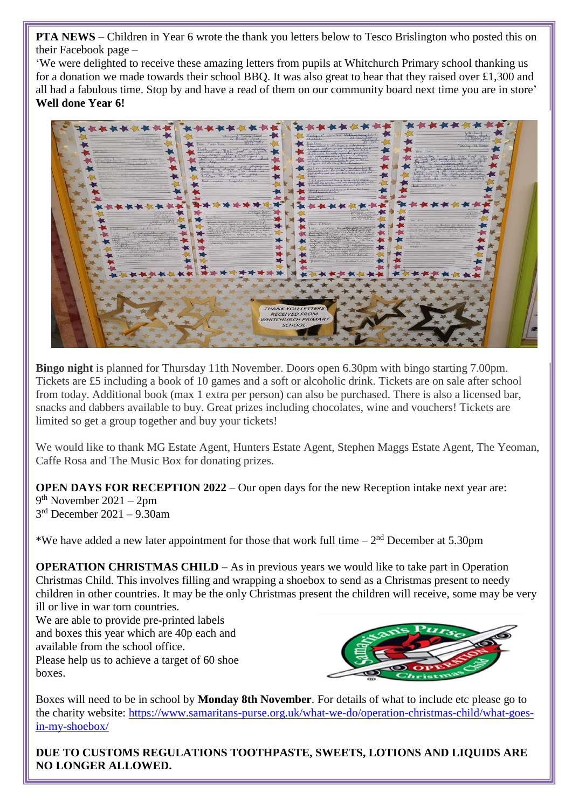**PTA NEWS** – Children in Year 6 wrote the thank you letters below to Tesco Brislington who posted this on their Facebook page –

'We were delighted to receive these amazing letters from pupils at Whitchurch Primary school thanking us for a donation we made towards their school BBQ. It was also great to hear that they raised over £1,300 and all had a fabulous time. Stop by and have a read of them on our community board next time you are in store' **Well done Year 6!**



**Bingo night** is planned for Thursday 11th November. Doors open 6.30pm with bingo starting 7.00pm. Tickets are £5 including a book of 10 games and a soft or alcoholic drink. Tickets are on sale after school from today. Additional book (max 1 extra per person) can also be purchased. There is also a licensed bar, snacks and dabbers available to buy. Great prizes including chocolates, wine and vouchers! Tickets are limited so get a group together and buy your tickets!

We would like to thank MG Estate Agent, Hunters Estate Agent, Stephen Maggs Estate Agent, The Yeoman, Caffe Rosa and The Music Box for donating prizes.

**OPEN DAYS FOR RECEPTION 2022** – Our open days for the new Reception intake next year are: 9 th November 2021 – 2pm 3 rd December 2021 – 9.30am

\*We have added a new later appointment for those that work full time  $-2<sup>nd</sup>$  December at 5.30pm

**OPERATION CHRISTMAS CHILD –** As in previous years we would like to take part in Operation Christmas Child. This involves filling and wrapping a shoebox to send as a Christmas present to needy children in other countries. It may be the only Christmas present the children will receive, some may be very ill or live in war torn countries.

We are able to provide pre-printed labels and boxes this year which are 40p each and available from the school office. Please help us to achieve a target of 60 shoe boxes.



Boxes will need to be in school by **Monday 8th November**. For details of what to include etc please go to the charity website: [https://www.samaritans-purse.org.uk/what-we-do/operation-christmas-child/what-goes](https://www.samaritans-purse.org.uk/what-we-do/operation-christmas-child/what-goes-in-my-shoebox/)[in-my-shoebox/](https://www.samaritans-purse.org.uk/what-we-do/operation-christmas-child/what-goes-in-my-shoebox/)

**DUE TO CUSTOMS REGULATIONS TOOTHPASTE, SWEETS, LOTIONS AND LIQUIDS ARE NO LONGER ALLOWED.**